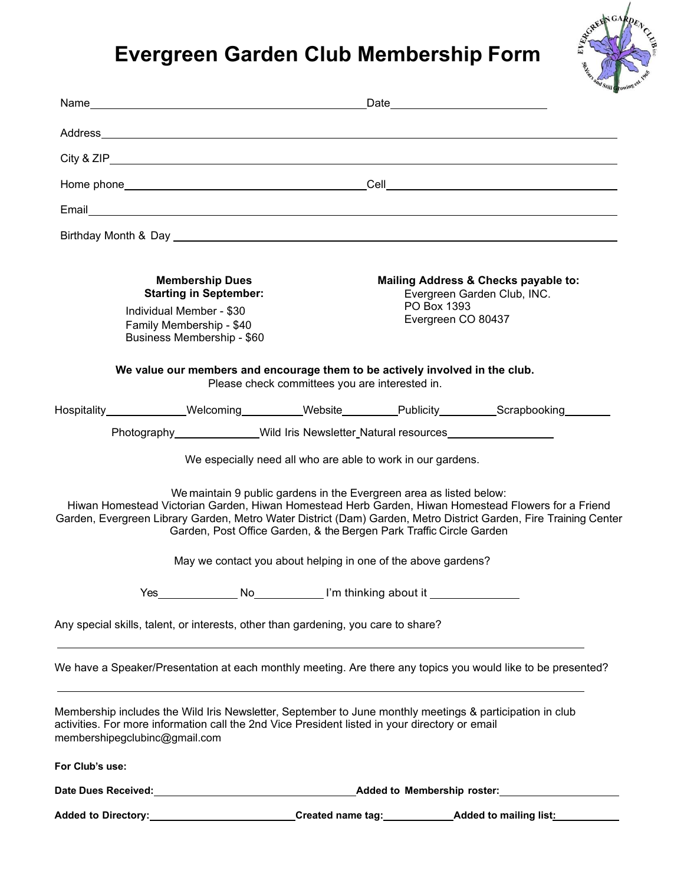## **Evergreen Garden Club Membership Form**



|                                                                                                                                                                                                                                             |                                                                                                                                            |                                                | Date <u>experience</u>                                                                                   |                                                                                                                                                                                                                         |  |
|---------------------------------------------------------------------------------------------------------------------------------------------------------------------------------------------------------------------------------------------|--------------------------------------------------------------------------------------------------------------------------------------------|------------------------------------------------|----------------------------------------------------------------------------------------------------------|-------------------------------------------------------------------------------------------------------------------------------------------------------------------------------------------------------------------------|--|
|                                                                                                                                                                                                                                             |                                                                                                                                            |                                                |                                                                                                          |                                                                                                                                                                                                                         |  |
|                                                                                                                                                                                                                                             |                                                                                                                                            |                                                |                                                                                                          |                                                                                                                                                                                                                         |  |
|                                                                                                                                                                                                                                             |                                                                                                                                            |                                                |                                                                                                          |                                                                                                                                                                                                                         |  |
|                                                                                                                                                                                                                                             |                                                                                                                                            |                                                |                                                                                                          |                                                                                                                                                                                                                         |  |
|                                                                                                                                                                                                                                             |                                                                                                                                            |                                                |                                                                                                          |                                                                                                                                                                                                                         |  |
| <b>Membership Dues</b><br><b>Starting in September:</b><br>Individual Member - \$30<br>Family Membership - \$40<br>Business Membership - \$60                                                                                               |                                                                                                                                            |                                                | Mailing Address & Checks payable to:<br>Evergreen Garden Club, INC.<br>PO Box 1393<br>Evergreen CO 80437 |                                                                                                                                                                                                                         |  |
|                                                                                                                                                                                                                                             | We value our members and encourage them to be actively involved in the club.                                                               | Please check committees you are interested in. |                                                                                                          |                                                                                                                                                                                                                         |  |
|                                                                                                                                                                                                                                             |                                                                                                                                            |                                                |                                                                                                          | Hospitality Welcoming Website Publicity Scrapbooking                                                                                                                                                                    |  |
|                                                                                                                                                                                                                                             | Photography_______________Wild Iris Newsletter_Natural resources________________                                                           |                                                |                                                                                                          |                                                                                                                                                                                                                         |  |
|                                                                                                                                                                                                                                             |                                                                                                                                            |                                                | We especially need all who are able to work in our gardens.                                              |                                                                                                                                                                                                                         |  |
|                                                                                                                                                                                                                                             | We maintain 9 public gardens in the Evergreen area as listed below:<br>Garden, Post Office Garden, & the Bergen Park Traffic Circle Garden |                                                |                                                                                                          | Hiwan Homestead Victorian Garden, Hiwan Homestead Herb Garden, Hiwan Homestead Flowers for a Friend<br>Garden, Evergreen Library Garden, Metro Water District (Dam) Garden, Metro District Garden, Fire Training Center |  |
|                                                                                                                                                                                                                                             | May we contact you about helping in one of the above gardens?                                                                              |                                                |                                                                                                          |                                                                                                                                                                                                                         |  |
| Yes                                                                                                                                                                                                                                         |                                                                                                                                            |                                                |                                                                                                          |                                                                                                                                                                                                                         |  |
| Any special skills, talent, or interests, other than gardening, you care to share?                                                                                                                                                          |                                                                                                                                            |                                                |                                                                                                          |                                                                                                                                                                                                                         |  |
|                                                                                                                                                                                                                                             | ,我们也不会有什么。""我们的人,我们也不会有什么?""我们的人,我们也不会有什么?""我们的人,我们也不会有什么?""我们的人,我们也不会有什么?""我们的人                                                           |                                                |                                                                                                          | We have a Speaker/Presentation at each monthly meeting. Are there any topics you would like to be presented?                                                                                                            |  |
| Membership includes the Wild Iris Newsletter, September to June monthly meetings & participation in club<br>activities. For more information call the 2nd Vice President listed in your directory or email<br>membershipegclubinc@gmail.com |                                                                                                                                            |                                                |                                                                                                          |                                                                                                                                                                                                                         |  |
| For Club's use:                                                                                                                                                                                                                             |                                                                                                                                            |                                                |                                                                                                          |                                                                                                                                                                                                                         |  |
|                                                                                                                                                                                                                                             |                                                                                                                                            |                                                |                                                                                                          |                                                                                                                                                                                                                         |  |
|                                                                                                                                                                                                                                             |                                                                                                                                            |                                                |                                                                                                          | Added to Directory:___________________________Created name tag:____________Added to mailing list:____________                                                                                                           |  |